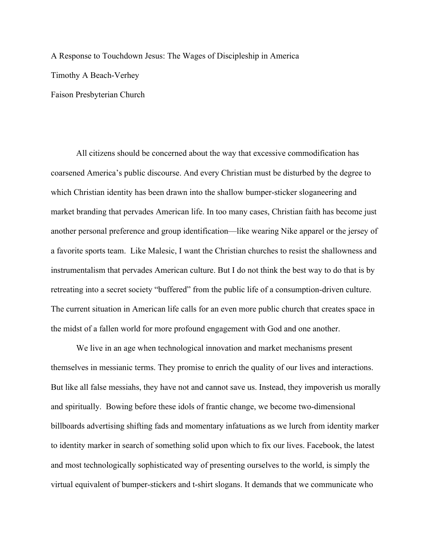A Response to Touchdown Jesus: The Wages of Discipleship in America Timothy A Beach-Verhey Faison Presbyterian Church

All citizens should be concerned about the way that excessive commodification has coarsened America's public discourse. And every Christian must be disturbed by the degree to which Christian identity has been drawn into the shallow bumper-sticker sloganeering and market branding that pervades American life. In too many cases, Christian faith has become just another personal preference and group identification—like wearing Nike apparel or the jersey of a favorite sports team. Like Malesic, I want the Christian churches to resist the shallowness and instrumentalism that pervades American culture. But I do not think the best way to do that is by retreating into a secret society "buffered" from the public life of a consumption-driven culture. The current situation in American life calls for an even more public church that creates space in the midst of a fallen world for more profound engagement with God and one another.

We live in an age when technological innovation and market mechanisms present themselves in messianic terms. They promise to enrich the quality of our lives and interactions. But like all false messiahs, they have not and cannot save us. Instead, they impoverish us morally and spiritually. Bowing before these idols of frantic change, we become two-dimensional billboards advertising shifting fads and momentary infatuations as we lurch from identity marker to identity marker in search of something solid upon which to fix our lives. Facebook, the latest and most technologically sophisticated way of presenting ourselves to the world, is simply the virtual equivalent of bumper-stickers and t-shirt slogans. It demands that we communicate who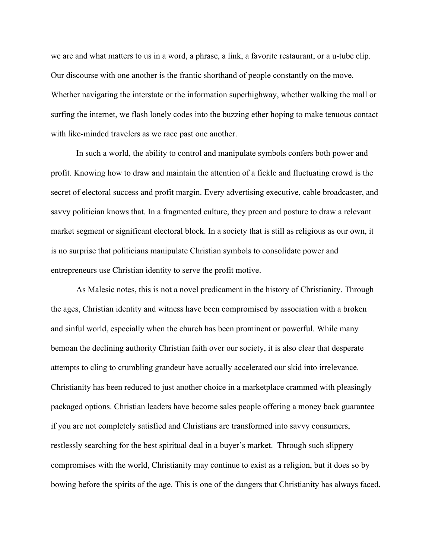we are and what matters to us in a word, a phrase, a link, a favorite restaurant, or a u-tube clip. Our discourse with one another is the frantic shorthand of people constantly on the move. Whether navigating the interstate or the information superhighway, whether walking the mall or surfing the internet, we flash lonely codes into the buzzing ether hoping to make tenuous contact with like-minded travelers as we race past one another.

In such a world, the ability to control and manipulate symbols confers both power and profit. Knowing how to draw and maintain the attention of a fickle and fluctuating crowd is the secret of electoral success and profit margin. Every advertising executive, cable broadcaster, and savvy politician knows that. In a fragmented culture, they preen and posture to draw a relevant market segment or significant electoral block. In a society that is still as religious as our own, it is no surprise that politicians manipulate Christian symbols to consolidate power and entrepreneurs use Christian identity to serve the profit motive.

As Malesic notes, this is not a novel predicament in the history of Christianity. Through the ages, Christian identity and witness have been compromised by association with a broken and sinful world, especially when the church has been prominent or powerful. While many bemoan the declining authority Christian faith over our society, it is also clear that desperate attempts to cling to crumbling grandeur have actually accelerated our skid into irrelevance. Christianity has been reduced to just another choice in a marketplace crammed with pleasingly packaged options. Christian leaders have become sales people offering a money back guarantee if you are not completely satisfied and Christians are transformed into savvy consumers, restlessly searching for the best spiritual deal in a buyer's market. Through such slippery compromises with the world, Christianity may continue to exist as a religion, but it does so by bowing before the spirits of the age. This is one of the dangers that Christianity has always faced.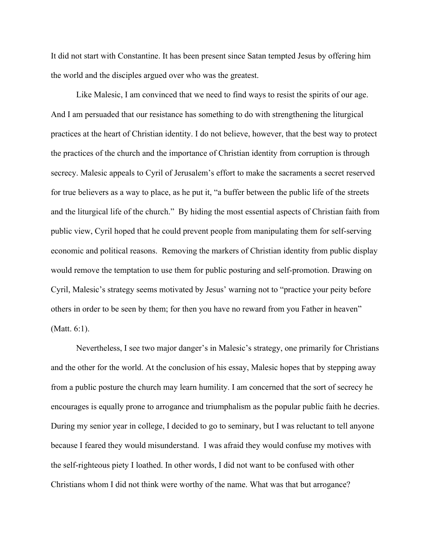It did not start with Constantine. It has been present since Satan tempted Jesus by offering him the world and the disciples argued over who was the greatest.

Like Malesic, I am convinced that we need to find ways to resist the spirits of our age. And I am persuaded that our resistance has something to do with strengthening the liturgical practices at the heart of Christian identity. I do not believe, however, that the best way to protect the practices of the church and the importance of Christian identity from corruption is through secrecy. Malesic appeals to Cyril of Jerusalem's effort to make the sacraments a secret reserved for true believers as a way to place, as he put it, "a buffer between the public life of the streets and the liturgical life of the church." By hiding the most essential aspects of Christian faith from public view, Cyril hoped that he could prevent people from manipulating them for self-serving economic and political reasons. Removing the markers of Christian identity from public display would remove the temptation to use them for public posturing and self-promotion. Drawing on Cyril, Malesic's strategy seems motivated by Jesus' warning not to "practice your peity before others in order to be seen by them; for then you have no reward from you Father in heaven" (Matt. 6:1).

Nevertheless, I see two major danger's in Malesic's strategy, one primarily for Christians and the other for the world. At the conclusion of his essay, Malesic hopes that by stepping away from a public posture the church may learn humility. I am concerned that the sort of secrecy he encourages is equally prone to arrogance and triumphalism as the popular public faith he decries. During my senior year in college, I decided to go to seminary, but I was reluctant to tell anyone because I feared they would misunderstand. I was afraid they would confuse my motives with the self-righteous piety I loathed. In other words, I did not want to be confused with other Christians whom I did not think were worthy of the name. What was that but arrogance?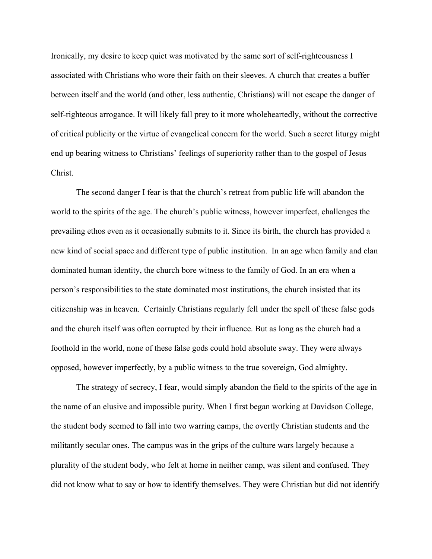Ironically, my desire to keep quiet was motivated by the same sort of self-righteousness I associated with Christians who wore their faith on their sleeves. A church that creates a buffer between itself and the world (and other, less authentic, Christians) will not escape the danger of self-righteous arrogance. It will likely fall prey to it more wholeheartedly, without the corrective of critical publicity or the virtue of evangelical concern for the world. Such a secret liturgy might end up bearing witness to Christians' feelings of superiority rather than to the gospel of Jesus Christ.

The second danger I fear is that the church's retreat from public life will abandon the world to the spirits of the age. The church's public witness, however imperfect, challenges the prevailing ethos even as it occasionally submits to it. Since its birth, the church has provided a new kind of social space and different type of public institution. In an age when family and clan dominated human identity, the church bore witness to the family of God. In an era when a person's responsibilities to the state dominated most institutions, the church insisted that its citizenship was in heaven. Certainly Christians regularly fell under the spell of these false gods and the church itself was often corrupted by their influence. But as long as the church had a foothold in the world, none of these false gods could hold absolute sway. They were always opposed, however imperfectly, by a public witness to the true sovereign, God almighty.

The strategy of secrecy, I fear, would simply abandon the field to the spirits of the age in the name of an elusive and impossible purity. When I first began working at Davidson College, the student body seemed to fall into two warring camps, the overtly Christian students and the militantly secular ones. The campus was in the grips of the culture wars largely because a plurality of the student body, who felt at home in neither camp, was silent and confused. They did not know what to say or how to identify themselves. They were Christian but did not identify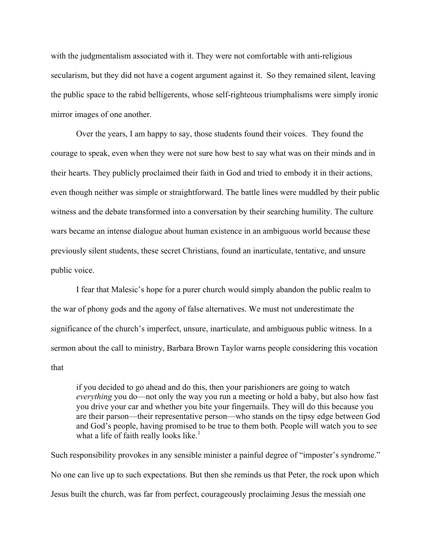with the judgmentalism associated with it. They were not comfortable with anti-religious secularism, but they did not have a cogent argument against it. So they remained silent, leaving the public space to the rabid belligerents, whose self-righteous triumphalisms were simply ironic mirror images of one another.

Over the years, I am happy to say, those students found their voices. They found the courage to speak, even when they were not sure how best to say what was on their minds and in their hearts. They publicly proclaimed their faith in God and tried to embody it in their actions, even though neither was simple or straightforward. The battle lines were muddled by their public witness and the debate transformed into a conversation by their searching humility. The culture wars became an intense dialogue about human existence in an ambiguous world because these previously silent students, these secret Christians, found an inarticulate, tentative, and unsure public voice.

I fear that Malesic's hope for a purer church would simply abandon the public realm to the war of phony gods and the agony of false alternatives. We must not underestimate the significance of the church's imperfect, unsure, inarticulate, and ambiguous public witness. In a sermon about the call to ministry, Barbara Brown Taylor warns people considering this vocation that

if you decided to go ahead and do this, then your parishioners are going to watch *everything* you do—not only the way you run a meeting or hold a baby, but also how fast you drive your car and whether you bite your fingernails. They will do this because you are their parson—their representative person—who stands on the tipsy edge between God and God's people, having promised to be true to them both. People will watch you to see what a life of faith really looks like.<sup>1</sup>

Such responsibility provokes in any sensible minister a painful degree of "imposter's syndrome." No one can live up to such expectations. But then she reminds us that Peter, the rock upon which Jesus built the church, was far from perfect, courageously proclaiming Jesus the messiah one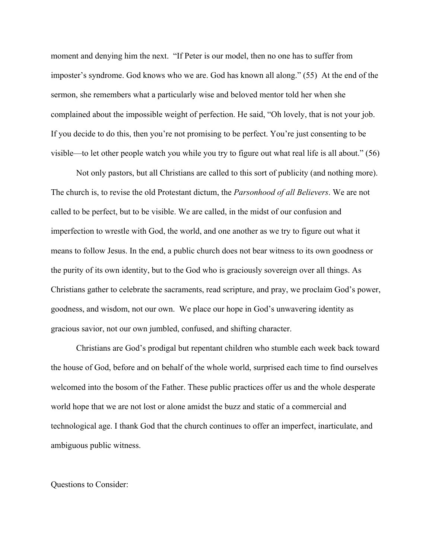moment and denying him the next. "If Peter is our model, then no one has to suffer from imposter's syndrome. God knows who we are. God has known all along." (55) At the end of the sermon, she remembers what a particularly wise and beloved mentor told her when she complained about the impossible weight of perfection. He said, "Oh lovely, that is not your job. If you decide to do this, then you're not promising to be perfect. You're just consenting to be visible—to let other people watch you while you try to figure out what real life is all about." (56)

Not only pastors, but all Christians are called to this sort of publicity (and nothing more). The church is, to revise the old Protestant dictum, the *Parsonhood of all Believers*. We are not called to be perfect, but to be visible. We are called, in the midst of our confusion and imperfection to wrestle with God, the world, and one another as we try to figure out what it means to follow Jesus. In the end, a public church does not bear witness to its own goodness or the purity of its own identity, but to the God who is graciously sovereign over all things. As Christians gather to celebrate the sacraments, read scripture, and pray, we proclaim God's power, goodness, and wisdom, not our own. We place our hope in God's unwavering identity as gracious savior, not our own jumbled, confused, and shifting character.

Christians are God's prodigal but repentant children who stumble each week back toward the house of God, before and on behalf of the whole world, surprised each time to find ourselves welcomed into the bosom of the Father. These public practices offer us and the whole desperate world hope that we are not lost or alone amidst the buzz and static of a commercial and technological age. I thank God that the church continues to offer an imperfect, inarticulate, and ambiguous public witness.

## Questions to Consider: